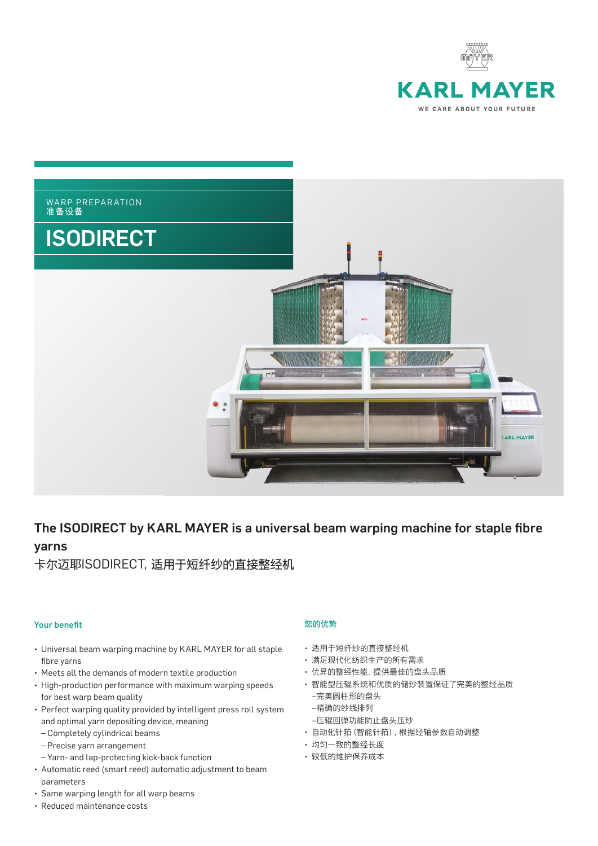



# The ISODIRECT by KARL MAYER is a universal beam warping machine for staple fibre yarns

卡尔迈耶ISODIRECT,适用于短纤纱的直接整经机

# **Your benefit**

- Universal beam warping machine by KARL MAYER for all staple fibre yarns
- Meets all the demands of modern textile production
- High-production performance with maximum warping speeds for best warp beam quality
- Perfect warping quality provided by intelligent press roll system and optimal yarn depositing device, meaning
	- Completely cylindrical beams
	- Precise yarn arrangement
	- Yarn- and lap-protecting kick-back function
- Automatic reed (smart reed) automatic adjustment to beam parameters
- Same warping length for all warp beams
- Reduced maintenance costs

# 您的优势

- 适用于短纤纱的直接整经机
- 满足现代化纺织生产的所有需求
- 优异的整经性能,提供最佳的盘头品质
- 智能型压辊系统和优质的储纱装置保证了完美的整经品质 –完美圆柱形的盘头
	- –精确的纱线排列
	- –压辊回弹功能防止盘头压纱
- 自动化针筘(智能针筘),根据经轴参数自动调整
- 均匀一致的整经长度
- 较低的维护保养成本